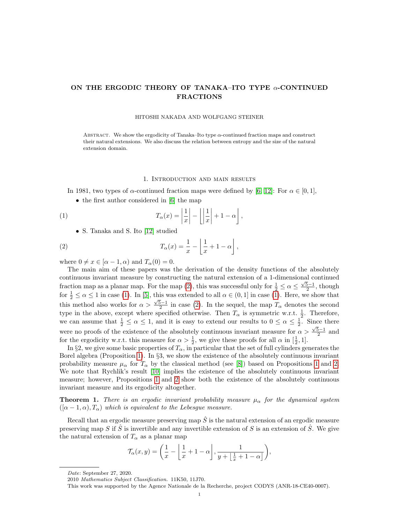# ON THE ERGODIC THEORY OF TANAKA–ITO TYPE α-CONTINUED FRACTIONS

#### HITOSHI NAKADA AND WOLFGANG STEINER

ABSTRACT. We show the ergodicity of Tanaka–Ito type  $\alpha$ -continued fraction maps and construct their natural extensions. We also discuss the relation between entropy and the size of the natural extension domain.

### <span id="page-0-1"></span><span id="page-0-0"></span>1. Introduction and main results

In 1981, two types of  $\alpha$ -continued fraction maps were defined by [\[6,](#page-9-0) [12\]](#page-9-1): For  $\alpha \in [0, 1]$ ,

• the first author considered in [\[6\]](#page-9-0) the map

(1) 
$$
T_{\alpha}(x) = \left| \frac{1}{x} \right| - \left| \left| \frac{1}{x} \right| + 1 - \alpha \right|,
$$

• S. Tanaka and S. Ito [\[12\]](#page-9-1) studied

(2) 
$$
T_{\alpha}(x) = \frac{1}{x} - \left\lfloor \frac{1}{x} + 1 - \alpha \right\rfloor,
$$

where  $0 \neq x \in [\alpha - 1, \alpha)$  and  $T_\alpha(0) = 0$ .

The main aim of these papers was the derivation of the density functions of the absolutely continuous invariant measure by constructing the natural extension of a 1-dimensional continued fraction map as a planar map. For the map [\(2\)](#page-0-0), this was successful only for  $\frac{1}{2} \le \alpha \le \frac{\sqrt{5}-1}{2}$ , though for  $\frac{1}{2} \le \alpha \le 1$  in case [\(1\)](#page-0-1). In [\[5\]](#page-9-2), this was extended to all  $\alpha \in (0,1]$  in case (1). Here, we show that this method also works for  $\alpha > \frac{\sqrt{5}-1}{2}$  in case [\(2\)](#page-0-0). In the sequel, the map  $T_{\alpha}$  denotes the second type in the above, except where specified otherwise. Then  $T_{\alpha}$  is symmetric w.r.t.  $\frac{1}{2}$ . Therefore, we can assume that  $\frac{1}{2} \leq \alpha \leq 1$ , and it is easy to extend our results to  $0 \leq \alpha \leq \frac{1}{2}$ . Since there were no proofs of the existence of the absolutely continuous invariant measure for  $\alpha > \frac{\sqrt{5}-1}{2}$  and for the ergodicity w.r.t. this measure for  $\alpha > \frac{1}{2}$ , we give these proofs for all  $\alpha$  in  $[\frac{1}{2}, 1]$ .

In §2, we give some basic properties of  $T_{\alpha}$ , in particular that the set of full cylinders generates the Borel algebra (Proposition [1\)](#page-2-0). In §3, we show the existence of the absolutely continuous invariant probability measure  $\mu_{\alpha}$  for  $T_{\alpha}$  by the classical method (see [\[8\]](#page-9-3)) based on Propositions [1](#page-2-0) and [2.](#page-3-0) We note that Rychlik's result [\[10\]](#page-9-4) implies the existence of the absolutely continuous invariant measure; however, Propositions [1](#page-2-0) and [2](#page-3-0) show both the existence of the absolutely continuous invariant measure and its ergodicity altogether.

<span id="page-0-2"></span>**Theorem 1.** There is an ergodic invariant probability measure  $\mu_{\alpha}$  for the dynamical system  $([\alpha - 1, \alpha), T_{\alpha})$  which is equivalent to the Lebesgue measure.

Recall that an ergodic measure preserving map  $\hat{S}$  is the natural extension of an ergodic measure preserving map S if  $\hat{S}$  is invertible and any invertible extension of S is an extension of  $\hat{S}$ . We give the natural extension of  $T_{\alpha}$  as a planar map

$$
\mathcal{T}_{\alpha}(x,y) = \left(\frac{1}{x} - \left\lfloor \frac{1}{x} + 1 - \alpha \right\rfloor, \frac{1}{y + \left\lfloor \frac{1}{x} + 1 - \alpha \right\rfloor}\right),\,
$$

Date: September 27, 2020.

<sup>2010</sup> Mathematics Subject Classification. 11K50, 11J70.

This work was supported by the Agence Nationale de la Recherche, project CODYS (ANR-18-CE40-0007).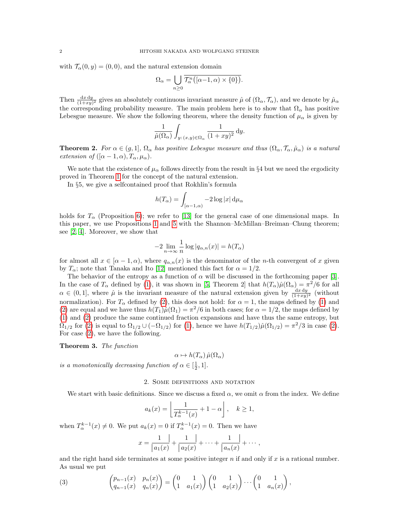with  $\mathcal{T}_{\alpha}(0, y) = (0, 0)$ , and the natural extension domain

$$
\Omega_{\alpha} = \bigcup_{n \geq 0} \overline{\mathcal{T}_{\alpha}^n([\alpha - 1, \alpha) \times \{0\})}.
$$

Then  $\frac{dxdy}{(1+xy)^2}$  gives an absolutely continuous invariant measure  $\hat{\mu}$  of  $(\Omega_{\alpha}, \mathcal{T}_{\alpha})$ , and we denote by  $\hat{\mu}_{\alpha}$ the corresponding probability measure. The main problem here is to show that  $\Omega_{\alpha}$  has positive Lebesgue measure. We show the following theorem, where the density function of  $\mu_{\alpha}$  is given by

$$
\frac{1}{\hat{\mu}(\Omega_{\alpha})} \int_{y:(x,y)\in\Omega_{\alpha}} \frac{1}{(1+xy)^2} dy.
$$

<span id="page-1-1"></span>**Theorem 2.** For  $\alpha \in (g,1], \Omega_{\alpha}$  has positive Lebesgue measure and thus  $(\Omega_{\alpha}, \mathcal{T}_{\alpha}, \hat{\mu}_{\alpha})$  is a natural extension of  $((\alpha - 1, \alpha), T_\alpha, \mu_\alpha)$ .

We note that the existence of  $\mu_{\alpha}$  follows directly from the result in §4 but we need the ergodicity proved in Theorem [1](#page-0-2) for the concept of the natural extension.

In §5, we give a selfcontained proof that Rokhlin's formula

$$
h(T_{\alpha}) = \int_{[\alpha - 1, \alpha)} -2 \log |x| \, \mathrm{d}\mu_{\alpha}
$$

holds for  $T_{\alpha}$  (Proposition [6\)](#page-8-0); we refer to [\[13\]](#page-9-5) for the general case of one dimensional maps. In this paper, we use Propositions [1](#page-2-0) and [5](#page-8-1) with the Shannon–McMillan–Breiman–Chung theorem; see [\[2,](#page-9-6) [4\]](#page-9-7). Moreover, we show that

$$
-2\lim_{n\to\infty}\frac{1}{n}\log|q_{\alpha,n}(x)|=h(T_\alpha)
$$

for almost all  $x \in [\alpha - 1, \alpha)$ , where  $q_{\alpha,n}(x)$  is the denominator of the *n*-th convergent of x given by  $T_{\alpha}$ ; note that Tanaka and Ito [\[12\]](#page-9-1) mentioned this fact for  $\alpha = 1/2$ .

The behavior of the entropy as a function of  $\alpha$  will be discussed in the forthcoming paper [\[3\]](#page-9-8). In the case of  $T_\alpha$  defined by [\(1\)](#page-0-1), it was shown in [\[5,](#page-9-2) Theorem 2] that  $h(T_\alpha)\hat{\mu}(\Omega_\alpha) = \pi^2/6$  for all  $\alpha \in (0,1]$ , where  $\hat{\mu}$  is the invariant measure of the natural extension given by  $\frac{dx\,dy}{(1+xy)^2}$  (without normalization). For  $T_{\alpha}$  defined by [\(2\)](#page-0-0), this does not hold: for  $\alpha = 1$ , the maps defined by [\(1\)](#page-0-1) and [\(2\)](#page-0-0) are equal and we have thus  $h(T_1)\hat{\mu}(\Omega_1) = \pi^2/6$  in both cases; for  $\alpha = 1/2$ , the maps defined by [\(1\)](#page-0-1) and [\(2\)](#page-0-0) produce the same continued fraction expansions and have thus the same entropy, but  $\Omega_{1/2}$  for [\(2\)](#page-0-0) is equal to  $\Omega_{1/2} \cup (-\Omega_{1/2})$  for [\(1\)](#page-0-1), hence we have  $h(T_{1/2})\hat{\mu}(\Omega_{1/2}) = \pi^2/3$  in case (2). For case [\(2\)](#page-0-0), we have the following.

<span id="page-1-2"></span>Theorem 3. The function

$$
\alpha \mapsto h(T_{\alpha})\,\hat{\mu}(\Omega_{\alpha})
$$

is a monotonically decreasing function of  $\alpha \in [\frac{1}{2}, 1]$ .

# 2. Some definitions and notation

We start with basic definitions. Since we discuss a fixed  $\alpha$ , we omit  $\alpha$  from the index. We define

$$
a_k(x) = \left\lfloor \frac{1}{T_{\alpha}^{k-1}(x)} + 1 - \alpha \right\rfloor, \quad k \ge 1,
$$

when  $T_{\alpha}^{k-1}(x) \neq 0$ . We put  $a_k(x) = 0$  if  $T_{\alpha}^{k-1}(x) = 0$ . Then we have

$$
x = \frac{1}{|a_1(x)} + \frac{1}{|a_2(x)} + \dots + \frac{1}{|a_n(x)} + \dots,
$$

and the right hand side terminates at some positive integer  $n$  if and only if  $x$  is a rational number. As usual we put

<span id="page-1-0"></span>(3) 
$$
\begin{pmatrix} p_{n-1}(x) & p_n(x) \ q_{n-1}(x) & q_n(x) \end{pmatrix} = \begin{pmatrix} 0 & 1 \ 1 & a_1(x) \end{pmatrix} \begin{pmatrix} 0 & 1 \ 1 & a_2(x) \end{pmatrix} \cdots \begin{pmatrix} 0 & 1 \ 1 & a_n(x) \end{pmatrix},
$$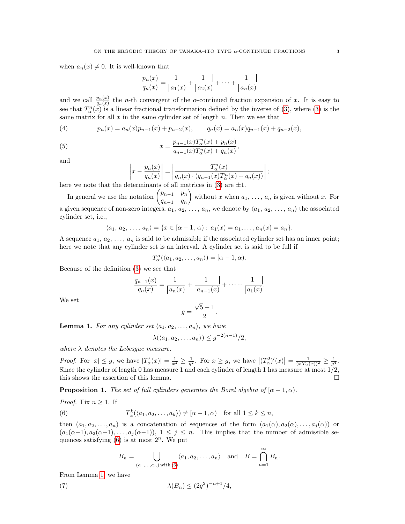when  $a_n(x) \neq 0$ . It is well-known that

$$
\frac{p_n(x)}{q_n(x)} = \frac{1}{|a_1(x)} + \frac{1}{|a_2(x)} + \dots + \frac{1}{|a_n(x)}
$$

and we call  $\frac{p_n(x)}{q_n(x)}$  the *n*-th convergent of the  $\alpha$ -continued fraction expansion of x. It is easy to see that  $T_{\alpha}^{n}(x)$  is a linear fractional transformation defined by the inverse of [\(3\)](#page-1-0), where (3) is the same matrix for all  $x$  in the same cylinder set of length  $n$ . Then we see that

<span id="page-2-3"></span>(4) 
$$
p_n(x) = a_n(x)p_{n-1}(x) + p_{n-2}(x), \qquad q_n(x) = a_n(x)q_{n-1}(x) + q_{n-2}(x),
$$

(5) 
$$
x = \frac{p_{n-1}(x)T_{\alpha}^n(x) + p_n(x)}{q_{n-1}(x)T_{\alpha}^n(x) + q_n(x)},
$$

and

<span id="page-2-4"></span>
$$
\left|x - \frac{p_n(x)}{q_n(x)}\right| = \left|\frac{T_\alpha^n(x)}{q_n(x) \cdot (q_{n-1}(x)T_\alpha^n(x) + q_n(x))}\right|;
$$

here we note that the determinants of all matrices in [\(3\)](#page-1-0) are  $\pm 1$ .

In general we use the notation  $\begin{pmatrix} p_{n-1} & p_n \end{pmatrix}$  $q_{n-1}$   $q_n$ without x when  $a_1, \ldots, a_n$  is given without x. For a given sequence of non-zero integers,  $a_1, a_2, \ldots, a_n$ , we denote by  $\langle a_1, a_2, \ldots, a_n \rangle$  the associated cylinder set, i.e.,

$$
\langle a_1, a_2, \ldots, a_n \rangle = \{ x \in [\alpha - 1, \alpha) : a_1(x) = a_1, \ldots, a_n(x) = a_n \}.
$$

A sequence  $a_1, a_2, \ldots, a_n$  is said to be admissible if the associated cylinder set has an inner point; here we note that any cylinder set is an interval. A cylinder set is said to be full if

$$
T_{\alpha}^{n}(\langle a_1, a_2, \ldots, a_n \rangle) = [\alpha - 1, \alpha).
$$

Because of the definition [\(3\)](#page-1-0) we see that

$$
\frac{q_{n-1}(x)}{q_n(x)} = \frac{1}{|a_n(x)} + \frac{1}{|a_{n-1}(x)} + \dots + \frac{1}{|a_1(x)}.
$$

We set

$$
g = \frac{\sqrt{5} - 1}{2}.
$$

<span id="page-2-2"></span>**Lemma 1.** For any cylinder set  $\langle a_1, a_2, \ldots, a_n \rangle$ , we have

$$
\lambda(\langle a_1, a_2, \dots, a_n \rangle) \le g^{-2(n-1)}/2,
$$

where  $\lambda$  denotes the Lebesgue measure.

*Proof.* For  $|x| \leq g$ , we have  $|T'_{\alpha}(x)| = \frac{1}{x^2} \geq \frac{1}{g^2}$ . For  $x \geq g$ , we have  $|(T_{\alpha}^2)'(x)| = \frac{1}{(xT_{\alpha}(x))^2} \geq \frac{1}{g^4}$ . Since the cylinder of length 0 has measure 1 and each cylinder of length 1 has measure at most 1/2, this shows the assertion of this lemma.

<span id="page-2-0"></span>**Proposition 1.** The set of full cylinders generates the Borel algebra of  $(\alpha - 1, \alpha)$ .

*Proof.* Fix 
$$
n \ge 1
$$
. If

(6) 
$$
T_{\alpha}^{k}(\langle a_1, a_2,..., a_k \rangle) \neq [\alpha - 1, \alpha) \text{ for all } 1 \leq k \leq n,
$$

then  $(a_1, a_2, \ldots, a_n)$  is a concatenation of sequences of the form  $(a_1(\alpha), a_2(\alpha), \ldots, a_i(\alpha))$  or  $(a_1(\alpha-1), a_2(\alpha-1), \ldots, a_j(\alpha-1)), 1 \leq j \leq n$ . This implies that the number of admissible sequences satisfying  $(6)$  is at most  $2<sup>n</sup>$ . We put

 $\infty$ 

<span id="page-2-5"></span><span id="page-2-1"></span>
$$
B_n = \bigcup_{(a_1,\ldots,a_n) \text{ with } (6)} \langle a_1,a_2,\ldots,a_n \rangle \quad \text{and} \quad B = \bigcap_{n=1} B_n.
$$

From Lemma [1,](#page-2-2) we have

(7)  $\lambda(B_n) \le (2g^2)^{-n+1}/4,$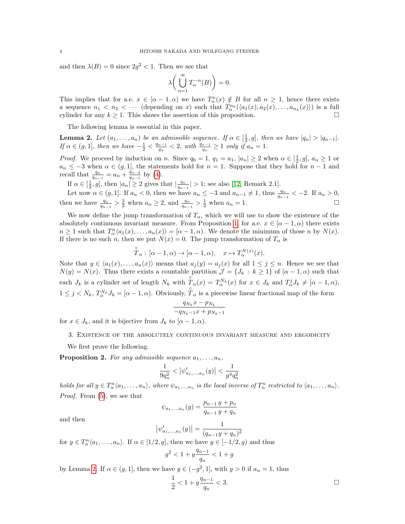and then  $\lambda(B) = 0$  since  $2g^2 < 1$ . Then we see that

$$
\lambda \bigg( \bigcup_{n=1}^\infty T_\alpha^{-n}(B) \bigg) = 0.
$$

This implies that for a.e.  $x \in [\alpha - 1, \alpha)$  we have  $T_\alpha^n(x) \notin B$  for all  $n \ge 1$ , hence there exists a sequence  $n_1 < n_2 < \cdots$  (depending on x) such that  $T_\alpha^{n_k}(\langle a_1(x), a_2(x), \ldots, a_{n_k}(x) \rangle)$  is a full cylinder for any  $k \geq 1$ . This shows the assertion of this proposition.

The following lemma is essential in this paper.

<span id="page-3-1"></span>**Lemma 2.** Let  $(a_1, \ldots, a_n)$  be an admissible sequence. If  $\alpha \in [\frac{1}{2}, g]$ , then we have  $|q_n| > |q_{n-1}|$ . If  $\alpha \in (g, 1]$ , then we have  $-\frac{1}{2} < \frac{q_{n-1}}{q_n}$  $\frac{q_{n-1}}{q_n} < 2$ , with  $\frac{q_{n-1}}{q_n} \geq 1$  only if  $a_n = 1$ .

*Proof.* We proceed by induction on n. Since  $q_0 = 1$ ,  $q_1 = a_1$ ,  $|a_n| \ge 2$  when  $\alpha \in [\frac{1}{2}, g]$ ,  $a_n \ge 1$  or  $a_n \leq -3$  when  $\alpha \in (g, 1]$ , the statements hold for  $n = 1$ . Suppose that they hold for  $n - 1$  and recall that  $\frac{q_n}{q_{n-1}} = a_n + \frac{q_{n-2}}{q_{n-1}}$  $\frac{q_{n-2}}{q_{n-1}}$  by [\(4\)](#page-2-3).

If  $\alpha \in \left[\frac{1}{2}, g\right]$ , then  $|a_n| \geq 2$  gives that  $\left|\frac{q_n}{q_{n-1}}\right| > 1$ ; see also [\[12,](#page-9-1) Remark 2.1].

Let now  $\alpha \in (g, 1]$ . If  $a_n < 0$ , then we have  $a_n \leq -3$  and  $a_{n-1} \neq 1$ , thus  $\frac{q_n}{q_{n-1}} < -2$ . If  $a_n > 0$ , then we have  $\frac{q_n}{q_{n-1}} > \frac{3}{2}$  when  $a_n \geq 2$ , and  $\frac{q_n}{q_{n-1}} > \frac{1}{2}$  when  $a_n = 1$ .

We now define the jump transformation of  $T_{\alpha}$ , which we will use to show the existence of the absolutely continuous invariant measure. From Proposition [1,](#page-2-0) for a.e.  $x \in [\alpha - 1, \alpha)$  there exists  $n \geq 1$  such that  $T_\alpha^n \langle a_1(x), \ldots, a_n(x) \rangle = [\alpha - 1, \alpha)$ . We denote the minimum of those n by  $N(x)$ . If there is no such n, then we put  $N(x) = 0$ . The jump transformation of  $T_{\alpha}$  is

$$
\overset{\circ}{T}_{\alpha}:\,[\alpha-1,\alpha)\to[\alpha-1,\alpha),\quad x\mapsto T_{\alpha}^{N(x)}(x).
$$

Note that  $y \in \langle a_1(x), \ldots, a_n(x) \rangle$  means that  $a_j(y) = a_j(x)$  for all  $1 \leq j \leq n$ . Hence we see that  $N(y) = N(x)$ . Thus there exists a countable partition  $\mathcal{J} = \{J_k : k \geq 1\}$  of  $[\alpha - 1, \alpha)$  such that each  $J_k$  is a cylinder set of length  $N_k$  with  $T_{\alpha}(x) = T_{\alpha}^{N_k}(x)$  for  $x \in J_k$  and  $T_{\alpha}^j J_k \neq [\alpha - 1, \alpha)$ ,  $1 \leq j < N_k$ ,  $T_{\alpha}^{N_k} J_k = [\alpha - 1, \alpha)$ . Obviously,  $\hat{T}_{\alpha}$  is a piecewise linear fractional map of the form  $q_{N_k} x - p_{N_k}$ 

$$
\frac{1 \cdot \cdot k}{-q_{N_k-1}x + p_{N_k-1}}
$$

for  $x \in J_k$ , and it is bijective from  $J_k$  to  $[\alpha - 1, \alpha)$ .

# 3. Existence of the absolutely continuous invariant measure and ergodicity

We first prove the following.

<span id="page-3-0"></span>**Proposition 2.** For any admissible sequence  $a_1, \ldots, a_n$ ,

$$
\frac{1}{9q_n^2} < \left| \psi'_{a_1, \dots, a_n}(y) \right| < \frac{1}{g^4 q_n^2}
$$

holds for all  $y \in T_\alpha^n \langle a_1, \ldots, a_n \rangle$ , where  $\psi_{a_1, \ldots, a_n}$  is the local inverse of  $T_\alpha^n$  restricted to  $\langle a_1, \ldots, a_n \rangle$ . Proof. From [\(5\)](#page-2-4), we see that

$$
\psi_{a_1,...,a_n}(y) = \frac{p_{n-1}y + p_n}{q_{n-1}y + q_n}
$$

and then

$$
\left|\psi'_{a_1,...,a_n}(y)\right| = \frac{1}{(q_{n-1}y + q_n)^2}
$$

for  $y \in T_\alpha^n \langle a_1, \ldots, a_n \rangle$ . If  $\alpha \in [1/2, g]$ , then we have  $y \in [-1/2, g)$  and thus

$$
g^2 < 1 + y \frac{q_{n-1}}{q_n} < 1 + g
$$

by Lemma [2.](#page-3-1) If  $\alpha \in (g, 1]$ , then we have  $y \in (-g^2, 1]$ , with  $y > 0$  if  $a_n = 1$ , thus

$$
\frac{1}{2} < 1 + y \frac{q_{n-1}}{q_n} < 3. \tag{}
$$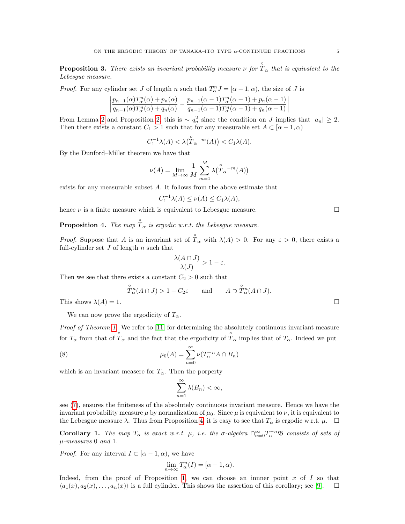**Proposition 3.** There exists an invariant probability measure  $\nu$  for  $\hat{T}_{\alpha}$  that is equivalent to the Lebesgue measure.

*Proof.* For any cylinder set J of length n such that  $T_{\alpha}^{n}J = [\alpha - 1, \alpha)$ , the size of J is

$$
\left| \frac{p_{n-1}(\alpha)T_{\alpha}^n(\alpha) + p_n(\alpha)}{q_{n-1}(\alpha)T_{\alpha}^n(\alpha) + q_n(\alpha)} - \frac{p_{n-1}(\alpha-1)T_{\alpha}^n(\alpha-1) + p_n(\alpha-1)}{q_{n-1}(\alpha-1)T_{\alpha}^n(\alpha-1) + q_n(\alpha-1)} \right|
$$

From Lemma [2](#page-3-1) and Proposition [2,](#page-3-0) this is  $\sim q_n^2$  since the condition on J implies that  $|a_n| \geq 2$ . Then there exists a constant  $C_1 > 1$  such that for any measurable set  $A \subset [\alpha - 1, \alpha)$ 

$$
C_1^{-1}\lambda(A) < \lambda(\overset{\circ}{T}_{\alpha}{}^{-m}(A)) < C_1\lambda(A).
$$

By the Dunford–Miller theorem we have that

$$
\nu(A) = \lim_{M \to \infty} \frac{1}{M} \sum_{m=1}^{M} \lambda(\overset{\circ}{T}_{\alpha}{}^{-m}(A))
$$

exists for any measurable subset A. It follows from the above estimate that

$$
C_1^{-1}\lambda(A) \le \nu(A) \le C_1\lambda(A),
$$

hence  $\nu$  is a finite measure which is equivalent to Lebesgue measure.

<span id="page-4-0"></span>**Proposition 4.** The map  $\hat{T}_{\alpha}$  is ergodic w.r.t. the Lebesgue measure.

*Proof.* Suppose that A is an invariant set of  $\hat{T}_{\alpha}$  with  $\lambda(A) > 0$ . For any  $\varepsilon > 0$ , there exists a full-cylinder set  $J$  of length  $n$  such that

$$
\frac{\lambda(A\cap J)}{\lambda(J)} > 1 - \varepsilon.
$$

Then we see that there exists a constant  $C_2 > 0$  such that

$$
\overset{\circ}{T}_{\alpha}^{n}(A \cap J) > 1 - C_2 \varepsilon
$$
 and  $A \supset \overset{\circ}{T}_{\alpha}^{n}(A \cap J)$ .

This shows  $\lambda(A) = 1$ .

We can now prove the ergodicity of  $T_{\alpha}$ .

Proof of Theorem [1.](#page-0-2) We refer to [\[11\]](#page-9-9) for determining the absolutely continuous invariant measure for  $T_{\alpha}$  from that of  $\hat{T}_{\alpha}$  and the fact that the ergodicity of  $\hat{T}_{\alpha}$  implies that of  $T_{\alpha}$ . Indeed we put

(8) 
$$
\mu_0(A) = \sum_{n=0}^{\infty} \nu(T_\alpha^{-n} A \cap B_n)
$$

which is an invariant measure for  $T_{\alpha}$ . Then the porperty

$$
\sum_{n=1}^{\infty} \lambda(B_n) < \infty,
$$

see [\(7\)](#page-2-5), ensures the finiteness of the absolutely continuous invariant measure. Hence we have the invariant probability measure  $\mu$  by normalization of  $\mu_0$ . Since  $\mu$  is equivalent to  $\nu$ , it is equivalent to the Lebesgue measure  $\lambda$ . Thus from Proposition [4,](#page-4-0) it is easy to see that  $T_{\alpha}$  is ergodic w.r.t.  $\mu$ .  $\Box$ 

**Corollary 1.** The map  $T_{\alpha}$  is exact w.r.t.  $\mu$ , i.e. the  $\sigma$ -algebra  $\bigcap_{n=0}^{\infty} T_{\alpha}^{-n} \mathfrak{B}$  consists of sets of  $\mu$ -measures 0 and 1.

*Proof.* For any interval  $I \subset [\alpha - 1, \alpha)$ , we have

$$
\lim_{n \to \infty} T^n_{\alpha}(I) = [\alpha - 1, \alpha).
$$

Indeed, from the proof of Proposition [1,](#page-2-0) we can choose an inner point  $x$  of  $I$  so that  $\langle a_1(x), a_2(x), \ldots, a_n(x) \rangle$  is a full cylinder. This shows the assertion of this corollary; see [\[9\]](#page-9-10).  $\Box$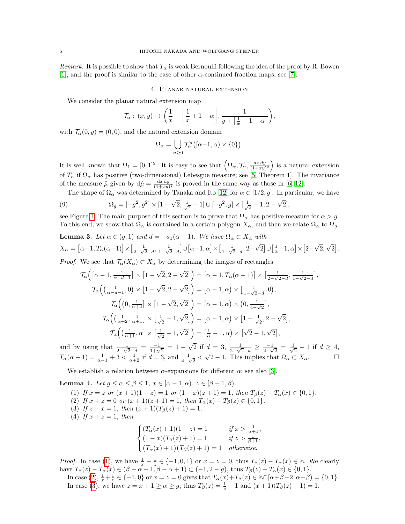*Remark.* It is possible to show that  $T_{\alpha}$  is weak Bernoulli following the idea of the proof by R. Bowen [\[1\]](#page-9-11), and the proof is similar to the case of other  $\alpha$ -continued fraction maps; see [\[7\]](#page-9-12).

## 4. Planar natural extension

We consider the planar natural extension map

$$
\mathcal{T}_{\alpha}: (x, y) \mapsto \left(\frac{1}{x} - \left\lfloor \frac{1}{x} + 1 - \alpha \right\rfloor, \frac{1}{y + \left\lfloor \frac{1}{x} + 1 - \alpha \right\rfloor}\right),\,
$$

with  $\mathcal{T}_{\alpha}(0, y) = (0, 0)$ , and the natural extension domain

$$
\Omega_{\alpha} = \bigcup_{n \geq 0} \overline{\mathcal{T}_{\alpha}^n([\alpha - 1, \alpha) \times \{0\})}.
$$

It is well known that  $\Omega_1 = [0,1]^2$ . It is easy to see that  $(\Omega_{\alpha}, \mathcal{T}_{\alpha}, \frac{dx\,dy}{(1+xy)^2})$  is a natural extension of  $T_{\alpha}$  if  $\Omega_{\alpha}$  has positive (two-dimensional) Lebesgue measure; see [\[5,](#page-9-2) Theorem 1]. The invariance of the measure  $\hat{\mu}$  given by  $d\hat{\mu} = \frac{dx dy}{(1+xy)^2}$  is proved in the same way as those in [\[6,](#page-9-0) [12\]](#page-9-1).

<span id="page-5-6"></span>The shape of  $\Omega_{\alpha}$  was determined by Tanaka and Ito [\[12\]](#page-9-1) for  $\alpha \in [1/2, g]$ . In particular, we have √ √

(9) 
$$
\Omega_g = [-g^2, g^2] \times [1 - \sqrt{2}, \frac{1}{\sqrt{2}} - 1] \cup [-g^2, g] \times [\frac{1}{\sqrt{2}} - 1, 2 - \sqrt{2}];
$$

see Figure [1.](#page-6-0) The main purpose of this section is to prove that  $\Omega_{\alpha}$  has positive measure for  $\alpha > g$ . To this end, we show that  $\Omega_{\alpha}$  is contained in a certain polygon  $X_{\alpha}$ , and then we relate  $\Omega_{\alpha}$  to  $\Omega_{g}$ .

<span id="page-5-5"></span>**Lemma 3.** Let 
$$
\alpha \in (g, 1)
$$
 and  $d = -a_1(\alpha - 1)$ . We have  $\Omega_{\alpha} \subset X_{\alpha}$  with  
\n
$$
X_{\alpha} = [\alpha - 1, T_{\alpha}(\alpha - 1)] \times [\frac{1}{2 - \sqrt{2} - d}, \frac{1}{1 - \sqrt{2} - d}] \cup [\alpha - 1, \alpha] \times [\frac{1}{1 - \sqrt{2} - d}, 2 - \sqrt{2}] \cup [\frac{1}{\alpha} - 1, \alpha] \times [2 - \sqrt{2}, \sqrt{2}].
$$
\nProof. We see that  $\mathcal{T}(X) \subset X$ , by determining the images of not angles.

*Proof.* We see that  $\mathcal{T}_{\alpha}(X_{\alpha}) \subset X_{\alpha}$  by determining the images of rectangles

$$
\mathcal{T}_{\alpha}\left(\left[\alpha-1,\frac{1}{\alpha-d-1}\right]\times\left[1-\sqrt{2},2-\sqrt{2}\right]\right)=\left[\alpha-1,T_{\alpha}(\alpha-1)\right]\times\left[\frac{1}{2-\sqrt{2}-d},\frac{1}{1-\sqrt{2}-d}\right],
$$
  

$$
\mathcal{T}_{\alpha}\left(\left(\frac{1}{\alpha-d-1},0\right)\times\left[1-\sqrt{2},2-\sqrt{2}\right]\right)=\left[\alpha-1,\alpha\right)\times\left[\frac{1}{1-\sqrt{2}-d},0\right),
$$
  

$$
\mathcal{T}_{\alpha}\left(\left(0,\frac{1}{\alpha+2}\right]\times\left[1-\sqrt{2},\sqrt{2}\right]\right)=\left[\alpha-1,\alpha\right)\times\left(0,\frac{1}{4-\sqrt{2}}\right],
$$
  

$$
\mathcal{T}_{\alpha}\left(\left(\frac{1}{\alpha+2},\frac{1}{\alpha+1}\right]\times\left[\frac{1}{\sqrt{2}}-1,\sqrt{2}\right]\right)=\left[\alpha-1,\alpha\right)\times\left[1-\frac{1}{\sqrt{2}},2-\sqrt{2}\right],
$$
  

$$
\mathcal{T}_{\alpha}\left(\left(\frac{1}{\alpha+1},\alpha\right]\times\left[\frac{1}{\sqrt{2}}-1,\sqrt{2}\right]\right)=\left[\frac{1}{\alpha}-1,\alpha\right)\times\left[\sqrt{2}-1,\sqrt{2}\right],
$$

and by using that  $\frac{1}{2-\sqrt{2}-d} = \frac{-1}{1+\sqrt{2}} = 1 \sqrt{2}$  if  $d = 3$ ,  $\frac{1}{2-\sqrt{2}-d}$  ≥  $\frac{-1}{2+\sqrt{2}} = \frac{1}{\sqrt{2}}$  $\frac{1}{2} - 1$  if  $d \geq 4$ ,  $T_{\alpha}(\alpha - 1) = \frac{1}{\alpha - 1} + 3 < \frac{1}{\alpha + 2}$  if  $d = 3$ , and  $\frac{1}{4 - \sqrt{2}}$  $\sqrt{2}$  – 1. This implies that  $\Omega_{\alpha} \subset X_{\alpha}$ .

We establish a relation between  $\alpha$ -expansions for different  $\alpha$ ; see also [\[3\]](#page-9-8).

<span id="page-5-4"></span><span id="page-5-0"></span>**Lemma 4.** Let  $g \le \alpha \le \beta \le 1$ ,  $x \in [\alpha - 1, \alpha)$ ,  $z \in [\beta - 1, \beta)$ .

(1) If  $x = z$  or  $(x + 1)(1 - z) = 1$  or  $(1 - x)(z + 1) = 1$ , then  $T_\beta(z) - T_\alpha(x) \in \{0, 1\}.$ 

- <span id="page-5-1"></span>(2) If  $x + z = 0$  or  $(x + 1)(z + 1) = 1$ , then  $T_{\alpha}(x) + T_{\beta}(z) \in \{0, 1\}.$
- <span id="page-5-2"></span>(3) If  $z - x = 1$ , then  $(x + 1)(T_\beta(z) + 1) = 1$ .
- <span id="page-5-3"></span>(4) If  $x + z = 1$ , then

$$
\begin{cases}\n(T_{\alpha}(x) + 1)(1 - z) = 1 & \text{if } x > \frac{1}{\alpha + 1}, \\
(1 - x)(T_{\beta}(z) + 1) = 1 & \text{if } z > \frac{1}{\beta + 1}, \\
(T_{\alpha}(x) + 1)(T_{\beta}(z) + 1) = 1 & \text{otherwise}.\n\end{cases}
$$

*Proof.* In case [\(1\)](#page-5-0), we have  $\frac{1}{x} - \frac{1}{z} \in \{-1, 0, 1\}$  or  $x = z = 0$ , thus  $T_\beta(z) - T_\alpha(x) \in \mathbb{Z}$ . We clearly have  $T_{\beta}(z) - T_{\alpha}(x) \in (\beta - \alpha - 1, \beta - \alpha + 1) \subset (-1, 2 - g)$ , thus  $T_{\beta}(z) - T_{\alpha}(x) \in \{0, 1\}$ .

In case [\(2\)](#page-5-1),  $\frac{1}{x} + \frac{1}{z} \in \{-1, 0\}$  or  $x = z = 0$  gives that  $T_{\alpha}(x) + T_{\beta}(z) \in \mathbb{Z} \cap [\alpha + \beta - 2, \alpha + \beta] = \{0, 1\}.$ In case [\(3\)](#page-5-2), we have  $z = x + 1 \ge \alpha \ge g$ , thus  $T_{\beta}(z) = \frac{1}{z} - 1$  and  $(x + 1)(T_{\beta}(z) + 1) = 1$ .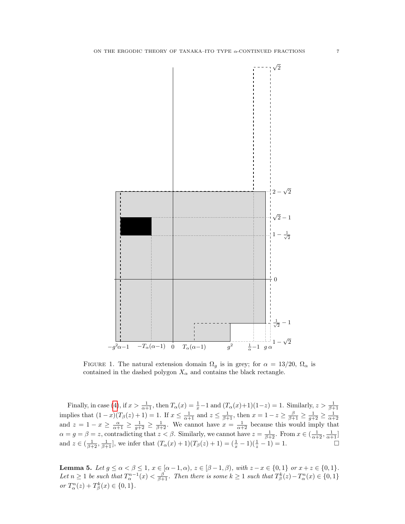

<span id="page-6-0"></span>FIGURE 1. The natural extension domain  $\Omega_g$  is in grey; for  $\alpha = 13/20$ ,  $\Omega_\alpha$  is contained in the dashed polygon  $X_{\alpha}$  and contains the black rectangle.

Finally, in case [\(4\)](#page-5-3), if  $x > \frac{1}{\alpha+1}$ , then  $T_\alpha(x) = \frac{1}{x} - 1$  and  $(T_\alpha(x) + 1)(1-z) = 1$ . Similarly,  $z > \frac{1}{\beta+1}$ implies that  $(1-x)(T_\beta(z)+1) = 1$ . If  $x \le \frac{1}{\alpha+1}$  and  $z \le \frac{1}{\beta+1}$ , then  $x = 1-z \ge \frac{\beta}{\beta+1} \ge \frac{1}{\alpha+2} \ge \frac{1}{\alpha+2}$ and  $z = 1 - x \ge \frac{\alpha}{\alpha+1} \ge \frac{1}{g+2} \ge \frac{1}{\beta+2}$ . We cannot have  $x = \frac{1}{\alpha+2}$  because this would imply that  $\alpha = g = \beta = z$ , contradicting that  $z < \beta$ . Similarly, we cannot have  $z = \frac{1}{\beta+2}$ . From  $x \in (\frac{1}{\alpha+2}, \frac{1}{\alpha+1}]$ and  $z \in (\frac{1}{\beta+2}, \frac{1}{\beta+1}]$ , we infer that  $(T_\alpha(x)+1)(T_\beta(z)+1) = (\frac{1}{x}-1)(\frac{1}{z}-1) = 1$ .

<span id="page-6-1"></span>**Lemma 5.** Let  $g \leq \alpha < \beta \leq 1$ ,  $x \in [\alpha - 1, \alpha)$ ,  $z \in [\beta - 1, \beta)$ , with  $z - x \in \{0, 1\}$  or  $x + z \in \{0, 1\}$ . Let  $n \geq 1$  be such that  $T_{\alpha}^{n-1}(x) < \frac{\beta}{\beta+1}$ . Then there is some  $k \geq 1$  such that  $T_{\beta}^{k}(z) - T_{\alpha}^{n}(x) \in \{0,1\}$ or  $T_{\alpha}^{n}(z) + T_{\beta}^{k}(x) \in \{0, 1\}.$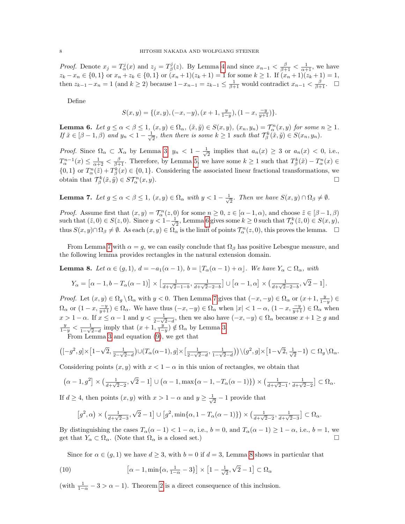*Proof.* Denote  $x_j = T_\alpha^j(x)$  and  $z_j = T_\beta^j(z)$ . By Lemma [4](#page-5-4) and since  $x_{n-1} < \frac{\beta}{\beta+1} < \frac{1}{\alpha+1}$ , we have  $z_k - x_n \in \{0, 1\}$  or  $x_n + z_k \in \{0, 1\}$  or  $(x_n + 1)(z_k + 1) = 1$  for some  $k \ge 1$ . If  $(x_n + 1)(z_k + 1) = 1$ , then  $z_{k-1}-x_n=1$  (and  $k\geq 2$ ) because  $1-x_{n-1}=z_{k-1}\leq \frac{1}{\beta+1}$  would contradict  $x_{n-1}<\frac{\beta}{\beta+1}$ .  $\Box$ 

Define

$$
S(x,y) = \{(x,y), (-x,-y), (x+1, \frac{y}{1-y}), (1-x, \frac{-y}{y+1})\}.
$$

<span id="page-7-0"></span>**Lemma 6.** Let  $g \le \alpha < \beta \le 1$ ,  $(x, y) \in \Omega_\alpha$ ,  $(\tilde{x}, \tilde{y}) \in S(x, y)$ ,  $(x_n, y_n) = \mathcal{T}_\alpha^n(x, y)$  for some  $n \ge 1$ . If  $\tilde{x} \in [\beta - 1, \beta)$  and  $y_n < 1 - \frac{1}{\sqrt{\beta}}$  $\frac{1}{2}$ , then there is some  $k \geq 1$  such that  $\mathcal{T}_{\beta}^k(\tilde{x}, \tilde{y}) \in S(x_n, y_n)$ .

*Proof.* Since  $\Omega_{\alpha} \subset X_{\alpha}$  by Lemma [3,](#page-5-5)  $y_n < 1 - \frac{1}{\sqrt{\alpha}}$  $\frac{1}{2}$  implies that  $a_n(x) \geq 3$  or  $a_n(x) < 0$ , i.e.,  $T_{\alpha}^{n-1}(x) \leq \frac{1}{\alpha+2} < \frac{\beta}{\beta+1}$ . Therefore, by Lemma [5,](#page-6-1) we have some  $k \geq 1$  such that  $T_{\beta}^{k}(\tilde{x}) - T_{\alpha}^{n}(x) \in$  $\{0,1\}$  or  $T_\alpha^n(\tilde{z}) + T_\beta^k(x) \in \{0,1\}$ . Considering the associated linear fractional transformations, we obtain that  $\mathcal{T}_{\beta}^{k}(\tilde{x},\tilde{y}) \in S\mathcal{T}_{\alpha}^{n}$  $\Box$ <sup>n</sup> $\alpha$ <sup>n</sup> $(x, y)$ .

<span id="page-7-1"></span>**Lemma 7.** Let  $g \leq \alpha < \beta \leq 1$ ,  $(x, y) \in \Omega_{\alpha}$  with  $y < 1 - \frac{1}{\sqrt{\alpha}}$  $\overline{z}$ . Then we have  $S(x, y) \cap \Omega_{\beta} \neq \emptyset$ .

*Proof.* Assume first that  $(x, y) = \mathcal{T}_{\alpha}^n(z, 0)$  for some  $n \geq 0$ ,  $z \in [\alpha - 1, \alpha)$ , and choose  $\tilde{z} \in [\beta - 1, \beta)$ such that  $(\tilde{z}, 0) \in S(z, 0)$ . Since  $y < 1-\frac{1}{\sqrt{2}}$  $\frac{1}{2}$ , Lemma [6](#page-7-0) gives some  $k \geq 0$  such that  $\mathcal{T}_{\alpha}^{k}(\tilde{z}, 0) \in S(x, y)$ , thus  $S(x, y) \cap \Omega_{\beta} \neq \emptyset$ . As each  $(x, y) \in \Omega_{\alpha}$  is the limit of points  $\mathcal{T}_{\alpha}^{n}(z, 0)$ , this proves the lemma.  $\Box$ 

From Lemma [7](#page-7-1) with  $\alpha = g$ , we can easily conclude that  $\Omega_{\beta}$  has positive Lebesgue measure, and the following lemma provides rectangles in the natural extension domain.

<span id="page-7-2"></span>**Lemma 8.** Let  $\alpha \in (q, 1), d = -a_1(\alpha - 1), b = |T_\alpha(\alpha - 1) + \alpha|$ . We have  $Y_\alpha \subset \Omega_\alpha$ , with

$$
Y_{\alpha} = \left[\alpha - 1, b - T_{\alpha}(\alpha - 1)\right] \times \left[\frac{1}{d + \sqrt{2} - 1 - b}, \frac{1}{d + \sqrt{2} - 2 - b}\right] \cup \left[\alpha - 1, \alpha\right] \times \left(\frac{1}{d + \sqrt{2} - 2 - b}, \sqrt{2} - 1\right].
$$

Proof. Let  $(x, y) \in \Omega_g \setminus \Omega_\alpha$  with  $y < 0$ . Then Lemma [7](#page-7-1) gives that  $(-x, -y) \in \Omega_\alpha$  or  $(x+1, \frac{y}{1-y}) \in \Omega$  $\Omega_{\alpha}$  or  $(1-x, \frac{-y}{y+1}) \in \Omega_{\alpha}$ . We have thus  $(-x, -y) \in \Omega_{\alpha}$  when  $|x| < 1 - \alpha$ ,  $(1-x, \frac{-y}{y+1}) \in \Omega_{\alpha}$  when  $x > 1 - \alpha$ . If  $x \le \alpha - 1$  and  $y < \frac{1}{2 - \sqrt{2} - d}$ , then we also have  $(-x, -y) \in \Omega_\alpha$  because  $x + 1 \ge g$  and  $\frac{y}{1-y} < \frac{1}{1-\sqrt{2}}$  $\frac{1}{1-\sqrt{2}-d}$  imply that  $(x+1, \frac{y}{1-y}) \notin \Omega_{\alpha}$  by Lemma [3.](#page-5-5) From Lemma [3](#page-5-5) and equation [\(9\)](#page-5-6), we get that

$$
\left([-g^2,g]\times\big[1-\sqrt{2},\tfrac{1}{2-\sqrt{2}-d}\big)\cup\big(T_\alpha(\alpha-1),g\big]\times\big[\tfrac{1}{2-\sqrt{2}-d},\tfrac{1}{1-\sqrt{2}-d}\big)\big)\setminus(g^2,g]\times\big[1-\sqrt{2},\tfrac{1}{\sqrt{2}}-1\big)\subset\Omega_g\setminus\Omega_\alpha.
$$

Considering points  $(x, y)$  with  $x < 1 - \alpha$  in this union of rectangles, we obtain that

$$
\left(\alpha-1,g^2\right] \times \left(\frac{1}{d+\sqrt{2}-2},\sqrt{2}-1\right] \cup \left(\alpha-1,\max\{\alpha-1,-T_\alpha(\alpha-1)\}\right) \times \left(\frac{1}{d+\sqrt{2}-1},\frac{1}{d+\sqrt{2}-2}\right] \subset \Omega_\alpha.
$$

If  $d \geq 4$ , then points  $(x, y)$  with  $x > 1 - \alpha$  and  $y \geq \frac{1}{\sqrt{2}}$  $\frac{1}{2} - 1$  provide that

$$
\left[g^2,\alpha\right)\times\left(\tfrac{1}{d+\sqrt{2}-3},\sqrt{2}-1\right]\cup\left[g^2,\min\{\alpha,1-T_\alpha(\alpha-1)\}\right)\times\left(\tfrac{1}{d+\sqrt{2}-2},\tfrac{1}{d+\sqrt{2}-3}\right]\subset\Omega_\alpha.
$$

By distinguishing the cases  $T_\alpha(\alpha - 1) < 1 - \alpha$ , i.e.,  $b = 0$ , and  $T_\alpha(\alpha - 1) \ge 1 - \alpha$ , i.e.,  $b = 1$ , we get that  $Y_{\alpha} \subset \Omega_{\alpha}$ . (Note that  $\Omega_{\alpha}$  is a closed set.)

<span id="page-7-3"></span>Since for  $\alpha \in (g,1)$  we have  $d \geq 3$ , with  $b=0$  if  $d=3$ , Lemma [8](#page-7-2) shows in particular that

(10) 
$$
\left[\alpha - 1, \min\{\alpha, \frac{1}{1-\alpha} - 3\}\right] \times \left[1 - \frac{1}{\sqrt{2}}, \sqrt{2} - 1\right] \subset \Omega_{\alpha}
$$

(with  $\frac{1}{1-\alpha} - 3 > \alpha - 1$ ). Theorem [2](#page-1-1) is a direct consequence of this inclusion.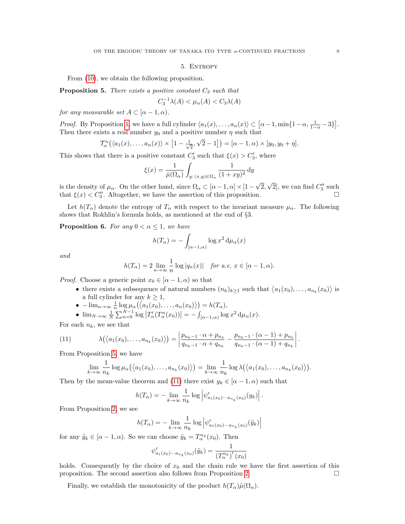## 5. ENTROPY

From [\(10\)](#page-7-3), we obtain the following proposition.

<span id="page-8-1"></span>**Proposition 5.** There exists a positive constant  $C_3$  such that

$$
C_3^{-1}\lambda(A) < \mu_\alpha(A) < C_3\lambda(A)
$$

for any measurable set  $A \subset [\alpha - 1, \alpha)$ .

*Proof.* By Proposition [1,](#page-2-0) we have a full cylinder  $\langle a_1(x), \ldots, a_n(x) \rangle \subset [\alpha - 1, \min\{1 - \alpha, \frac{1}{1-\alpha} - 3\}].$ Then there exists a real number  $y_0$  and a positive number  $\eta$  such that

$$
\mathcal{T}_{\alpha}^{n}\big(\langle a_{1}(x),\ldots,a_{n}(x)\rangle\times[1-\frac{1}{\sqrt{2}},\sqrt{2}-1]\big)=[\alpha-1,\alpha)\times[y_{0},y_{0}+\eta].
$$

This shows that there is a positive constant  $C'_3$  such that  $\xi(x) > C'_3$ , where

$$
\xi(x) = \frac{1}{\hat{\mu}(\Omega_{\alpha})} \int_{y:(x,y)\in\Omega_{\alpha}} \frac{1}{(1+xy)^2} dy
$$

is the density of  $\mu_{\alpha}$ . On the other hand, since  $\Omega_{\alpha} \subset [\alpha - 1, \alpha] \times [1 - \alpha]$ √ 2, √  $\overline{2}]$ , we can find  $C''_3$  such that  $\xi(x) < C''_3$ . Altogether, we have the assertion of this proposition.

Let  $h(T_\alpha)$  denote the entropy of  $T_\alpha$  with respect to the invariant measure  $\mu_\alpha$ . The following shows that Rokhlin's formula holds, as mentioned at the end of §3.

<span id="page-8-0"></span>**Proposition 6.** For any  $0 < \alpha \leq 1$ , we have

$$
h(T_{\alpha}) = -\int_{[\alpha-1,\alpha)} \log x^2 d\mu_{\alpha}(x)
$$

and

$$
h(T_{\alpha}) = 2 \lim_{n \to \infty} \frac{1}{n} \log |q_n(x)| \quad \text{for a.e. } x \in [\alpha - 1, \alpha).
$$

*Proof.* Choose a generic point  $x_0 \in [\alpha - 1, \alpha)$  so that

- there exists a subsequence of natural numbers  $(n_k)_{k\geq 1}$  such that  $\langle a_1(x_0), \ldots, a_{n_k}(x_0) \rangle$  is a full cylinder for any  $k \geq 1$ ,
- $-\lim_{n\to\infty}\frac{1}{n}\log\mu_\alpha\big(\big\langle a_1(x_0),\ldots,a_n(x_0)\big\rangle\big)=h(T_\alpha),$

•  $\lim_{N \to \infty} \frac{1}{N} \sum_{n=0}^{N-1} \log |T'_{\alpha}(T^n_{\alpha}(x_0))| = - \int_{[\alpha-1,\alpha)} \log x^2 d\mu_{\alpha}(x)$ .

For each  $n_k$ , we see that

(11) 
$$
\lambda(\langle a_1(x_0),...,a_{n_k}(x_0)\rangle) = \left|\frac{p_{n_k-1}\cdot \alpha + p_{n_k}}{q_{n_k-1}\cdot \alpha + q_{n_k}} - \frac{p_{n_k-1}\cdot (\alpha-1) + p_{n_k}}{q_{n_k-1}\cdot (\alpha-1) + q_{n_k}}\right|.
$$

From Proposition [5,](#page-8-1) we have

<span id="page-8-2"></span>
$$
\lim_{k\to\infty}\frac{1}{n_k}\log\mu_\alpha\big(\big\langle a_1(x_0),\ldots,a_{n_k}(x_0)\big\rangle\big)=\lim_{k\to\infty}\frac{1}{n_k}\log\lambda\big(\big\langle a_1(x_0),\ldots,a_{n_k}(x_0)\big\rangle\big).
$$

Then by the mean-value theorem and [\(11\)](#page-8-2) there exist  $y_k \in [\alpha - 1, \alpha)$  such that

$$
h(T_{\alpha}) = -\lim_{k \to \infty} \frac{1}{n_k} \log \left| \psi'_{a_1(x_0)\cdots a_{n_k}(x_0)}(y_k) \right|.
$$

From Proposition [2,](#page-3-0) we see

$$
h(T_{\alpha}) = -\lim_{k \to \infty} \frac{1}{n_k} \log \left| \psi'_{a_1(x_0)\cdots a_{n_k}(x_0)}(\tilde{y}_k) \right|
$$

for any  $\tilde{y}_k \in [\alpha - 1, \alpha)$ . So we can choose  $\tilde{y}_k = T_{\alpha}^{n_k}(x_0)$ . Then

$$
\psi'_{a_1(x_0)\cdots a_{n_k}(x_0)}(\tilde{y}_k) = \frac{1}{(T_\alpha^{n_k})'(x_0)}
$$

holds. Consequently by the choice of  $x_0$  and the chain rule we have the first assertion of this proposition. The second assertion also follows from Proposition [2.](#page-3-0)

Finally, we establish the monotonicity of the product  $h(T_\alpha)\hat{\mu}(\Omega_\alpha)$ .